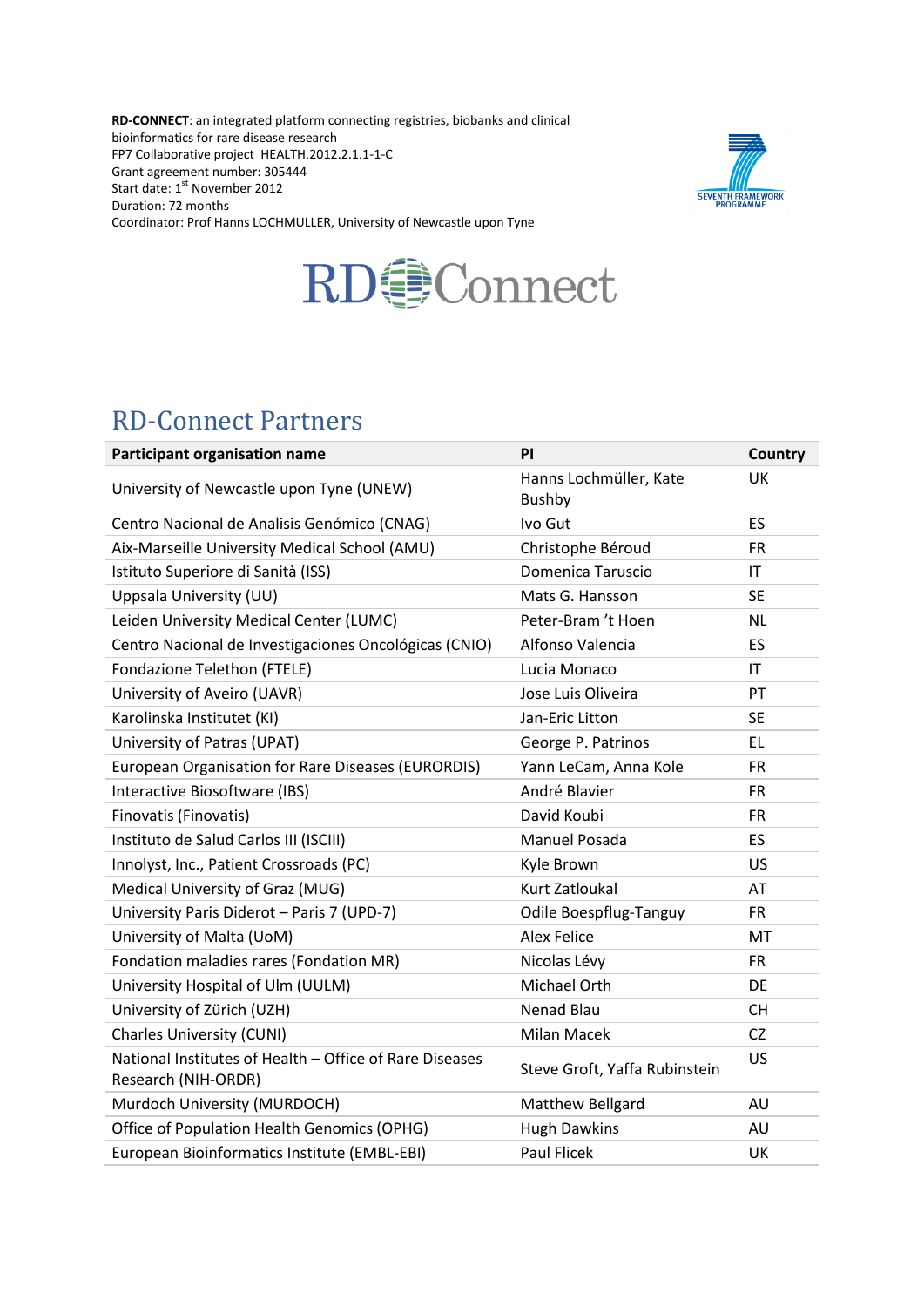**RD-CONNECT**: an integrated platform connecting registries, biobanks and clinical bioinformatics for rare disease research FP7 Collaborative project HEALTH.2012.2.1.1-1-C Grant agreement number: 305444 Start date: 1<sup>st</sup> November 2012 Duration: 72 months Coordinator: Prof Hanns LOCHMULLER, University of Newcastle upon Tyne





## RD-Connect Partners

| Participant organisation name                                                  | ΡI                                      | <b>Country</b>         |
|--------------------------------------------------------------------------------|-----------------------------------------|------------------------|
| University of Newcastle upon Tyne (UNEW)                                       | Hanns Lochmüller, Kate<br><b>Bushby</b> | <b>UK</b>              |
| Centro Nacional de Analisis Genómico (CNAG)                                    | Ivo Gut                                 | ES                     |
| Aix-Marseille University Medical School (AMU)                                  | Christophe Béroud                       | <b>FR</b>              |
| Istituto Superiore di Sanità (ISS)                                             | Domenica Taruscio                       | $\mathsf{I}\mathsf{T}$ |
| Uppsala University (UU)                                                        | Mats G. Hansson                         | <b>SE</b>              |
| Leiden University Medical Center (LUMC)                                        | Peter-Bram 't Hoen                      | <b>NL</b>              |
| Centro Nacional de Investigaciones Oncológicas (CNIO)                          | Alfonso Valencia                        | ES                     |
| Fondazione Telethon (FTELE)                                                    | Lucia Monaco                            | $\mathsf{I}\mathsf{T}$ |
| University of Aveiro (UAVR)                                                    | Jose Luis Oliveira                      | PT                     |
| Karolinska Institutet (KI)                                                     | Jan-Eric Litton                         | <b>SE</b>              |
| University of Patras (UPAT)                                                    | George P. Patrinos                      | EL                     |
| European Organisation for Rare Diseases (EURORDIS)                             | Yann LeCam, Anna Kole                   | <b>FR</b>              |
| Interactive Biosoftware (IBS)                                                  | André Blavier                           | <b>FR</b>              |
| Finovatis (Finovatis)                                                          | David Koubi                             | <b>FR</b>              |
| Instituto de Salud Carlos III (ISCIII)                                         | Manuel Posada                           | ES                     |
| Innolyst, Inc., Patient Crossroads (PC)                                        | Kyle Brown                              | US.                    |
| Medical University of Graz (MUG)                                               | Kurt Zatloukal                          | AT                     |
| University Paris Diderot - Paris 7 (UPD-7)                                     | <b>Odile Boespflug-Tanguy</b>           | <b>FR</b>              |
| University of Malta (UoM)                                                      | <b>Alex Felice</b>                      | MT                     |
| Fondation maladies rares (Fondation MR)                                        | Nicolas Lévy                            | <b>FR</b>              |
| University Hospital of Ulm (UULM)                                              | Michael Orth                            | DE                     |
| University of Zürich (UZH)                                                     | <b>Nenad Blau</b>                       | CH.                    |
| <b>Charles University (CUNI)</b>                                               | Milan Macek                             | CZ                     |
| National Institutes of Health - Office of Rare Diseases<br>Research (NIH-ORDR) | Steve Groft, Yaffa Rubinstein           | <b>US</b>              |
| Murdoch University (MURDOCH)                                                   | Matthew Bellgard                        | AU                     |
| Office of Population Health Genomics (OPHG)                                    | <b>Hugh Dawkins</b>                     | AU                     |
| European Bioinformatics Institute (EMBL-EBI)                                   | <b>Paul Flicek</b>                      | UK                     |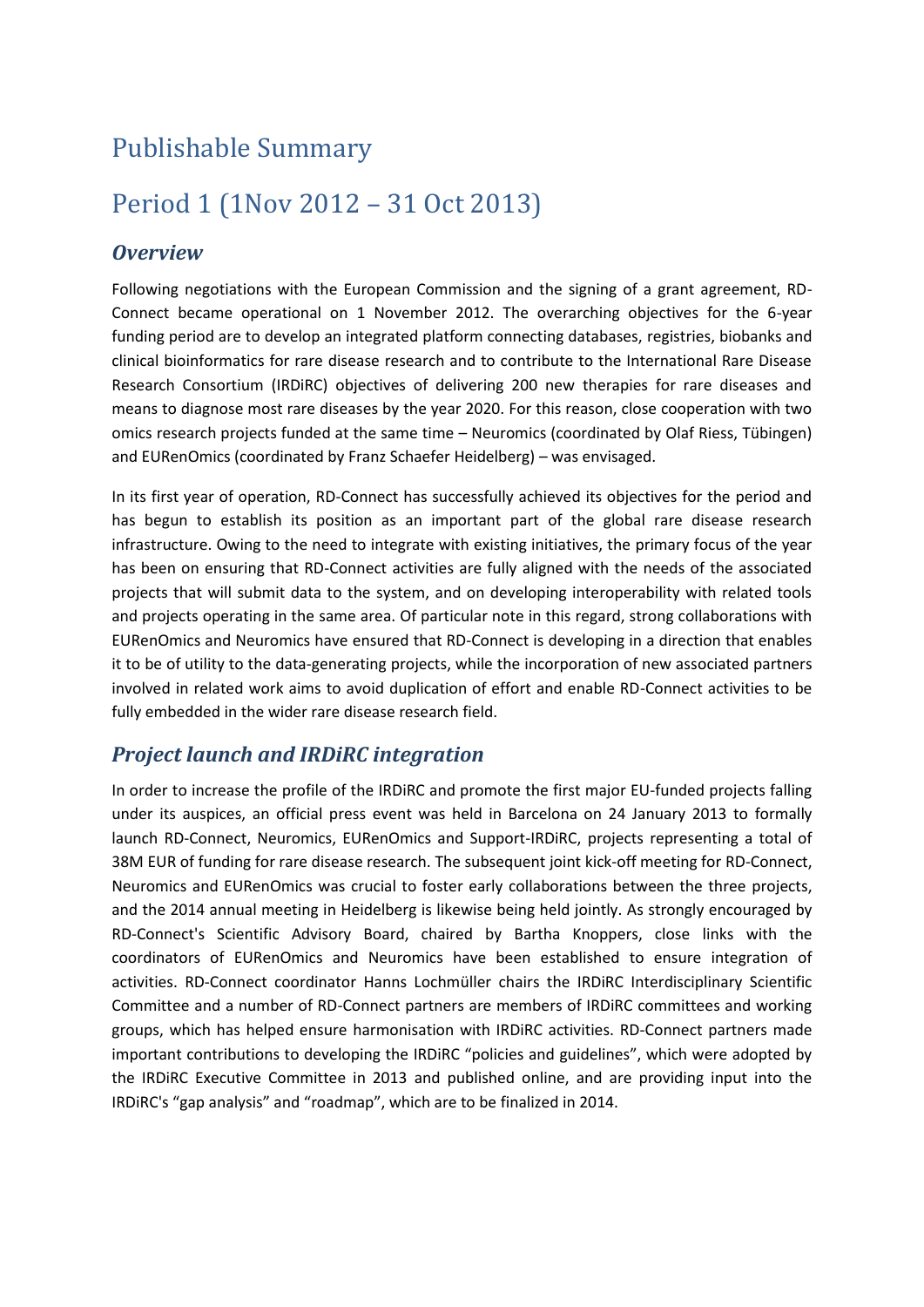# Publishable Summary

# Period 1 (1Nov 2012 – 31 Oct 2013)

#### *Overview*

Following negotiations with the European Commission and the signing of a grant agreement, RD-Connect became operational on 1 November 2012. The overarching objectives for the 6-year funding period are to develop an integrated platform connecting databases, registries, biobanks and clinical bioinformatics for rare disease research and to contribute to the International Rare Disease Research Consortium (IRDiRC) objectives of delivering 200 new therapies for rare diseases and means to diagnose most rare diseases by the year 2020. For this reason, close cooperation with two omics research projects funded at the same time – Neuromics (coordinated by Olaf Riess, Tübingen) and EURenOmics (coordinated by Franz Schaefer Heidelberg) – was envisaged.

In its first year of operation, RD-Connect has successfully achieved its objectives for the period and has begun to establish its position as an important part of the global rare disease research infrastructure. Owing to the need to integrate with existing initiatives, the primary focus of the year has been on ensuring that RD-Connect activities are fully aligned with the needs of the associated projects that will submit data to the system, and on developing interoperability with related tools and projects operating in the same area. Of particular note in this regard, strong collaborations with EURenOmics and Neuromics have ensured that RD-Connect is developing in a direction that enables it to be of utility to the data-generating projects, while the incorporation of new associated partners involved in related work aims to avoid duplication of effort and enable RD-Connect activities to be fully embedded in the wider rare disease research field.

### *Project launch and IRDiRC integration*

In order to increase the profile of the IRDiRC and promote the first major EU-funded projects falling under its auspices, an official press event was held in Barcelona on 24 January 2013 to formally launch RD-Connect, Neuromics, EURenOmics and Support-IRDiRC, projects representing a total of 38M EUR of funding for rare disease research. The subsequent joint kick-off meeting for RD-Connect, Neuromics and EURenOmics was crucial to foster early collaborations between the three projects, and the 2014 annual meeting in Heidelberg is likewise being held jointly. As strongly encouraged by RD-Connect's Scientific Advisory Board, chaired by Bartha Knoppers, close links with the coordinators of EURenOmics and Neuromics have been established to ensure integration of activities. RD-Connect coordinator Hanns Lochmüller chairs the IRDiRC Interdisciplinary Scientific Committee and a number of RD-Connect partners are members of IRDiRC committees and working groups, which has helped ensure harmonisation with IRDiRC activities. RD-Connect partners made important contributions to developing the IRDiRC "policies and guidelines", which were adopted by the IRDiRC Executive Committee in 2013 and published online, and are providing input into the IRDiRC's "gap analysis" and "roadmap", which are to be finalized in 2014.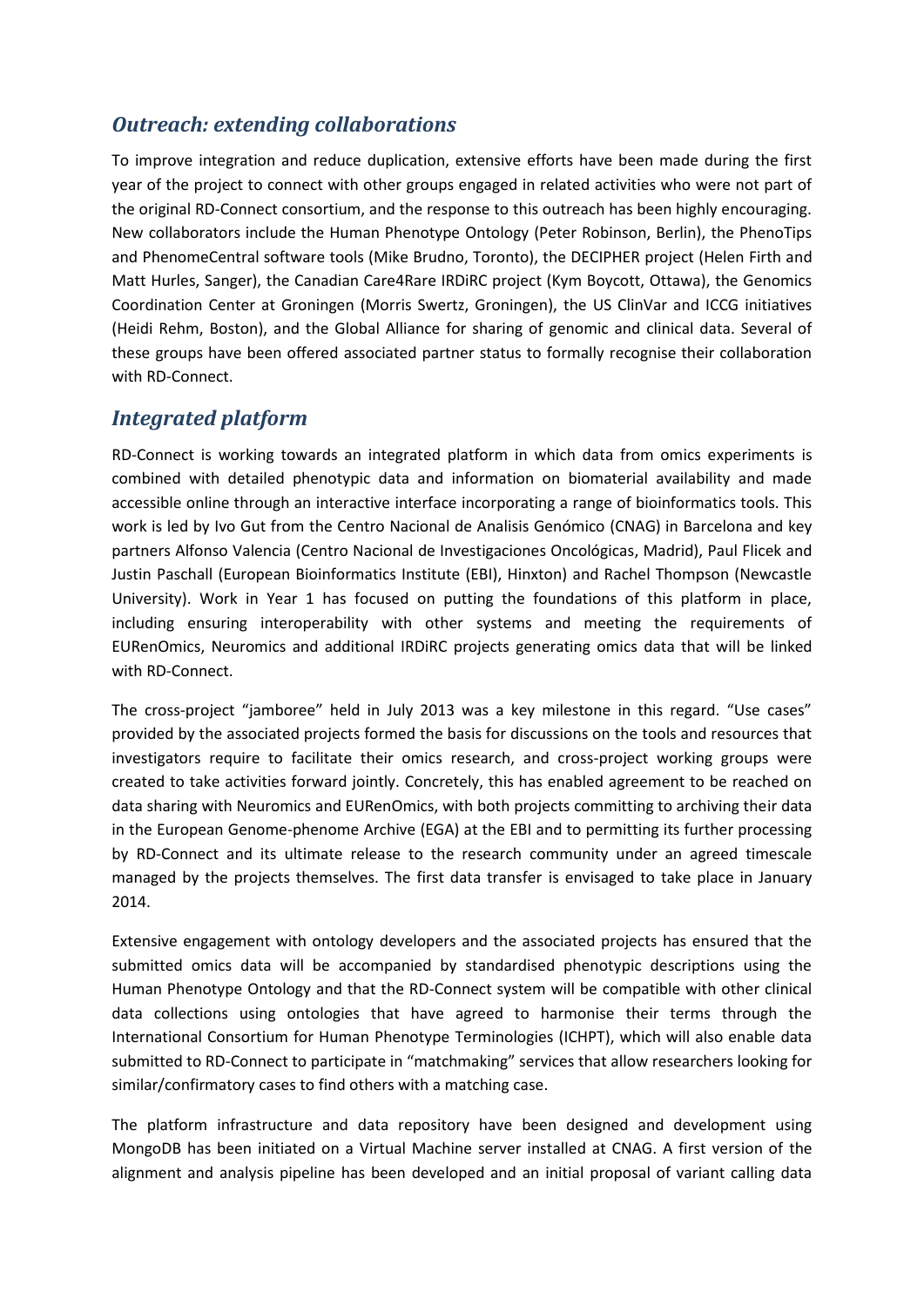### *Outreach: extending collaborations*

To improve integration and reduce duplication, extensive efforts have been made during the first year of the project to connect with other groups engaged in related activities who were not part of the original RD-Connect consortium, and the response to this outreach has been highly encouraging. New collaborators include the Human Phenotype Ontology (Peter Robinson, Berlin), the PhenoTips and PhenomeCentral software tools (Mike Brudno, Toronto), the DECIPHER project (Helen Firth and Matt Hurles, Sanger), the Canadian Care4Rare IRDiRC project (Kym Boycott, Ottawa), the Genomics Coordination Center at Groningen (Morris Swertz, Groningen), the US ClinVar and ICCG initiatives (Heidi Rehm, Boston), and the Global Alliance for sharing of genomic and clinical data. Several of these groups have been offered associated partner status to formally recognise their collaboration with RD-Connect.

### *Integrated platform*

RD-Connect is working towards an integrated platform in which data from omics experiments is combined with detailed phenotypic data and information on biomaterial availability and made accessible online through an interactive interface incorporating a range of bioinformatics tools. This work is led by Ivo Gut from the Centro Nacional de Analisis Genómico (CNAG) in Barcelona and key partners Alfonso Valencia (Centro Nacional de Investigaciones Oncológicas, Madrid), Paul Flicek and Justin Paschall (European Bioinformatics Institute (EBI), Hinxton) and Rachel Thompson (Newcastle University). Work in Year 1 has focused on putting the foundations of this platform in place, including ensuring interoperability with other systems and meeting the requirements of EURenOmics, Neuromics and additional IRDiRC projects generating omics data that will be linked with RD-Connect.

The cross-project "jamboree" held in July 2013 was a key milestone in this regard. "Use cases" provided by the associated projects formed the basis for discussions on the tools and resources that investigators require to facilitate their omics research, and cross-project working groups were created to take activities forward jointly. Concretely, this has enabled agreement to be reached on data sharing with Neuromics and EURenOmics, with both projects committing to archiving their data in the European Genome-phenome Archive (EGA) at the EBI and to permitting its further processing by RD-Connect and its ultimate release to the research community under an agreed timescale managed by the projects themselves. The first data transfer is envisaged to take place in January 2014.

Extensive engagement with ontology developers and the associated projects has ensured that the submitted omics data will be accompanied by standardised phenotypic descriptions using the Human Phenotype Ontology and that the RD-Connect system will be compatible with other clinical data collections using ontologies that have agreed to harmonise their terms through the International Consortium for Human Phenotype Terminologies (ICHPT), which will also enable data submitted to RD-Connect to participate in "matchmaking" services that allow researchers looking for similar/confirmatory cases to find others with a matching case.

The platform infrastructure and data repository have been designed and development using MongoDB has been initiated on a Virtual Machine server installed at CNAG. A first version of the alignment and analysis pipeline has been developed and an initial proposal of variant calling data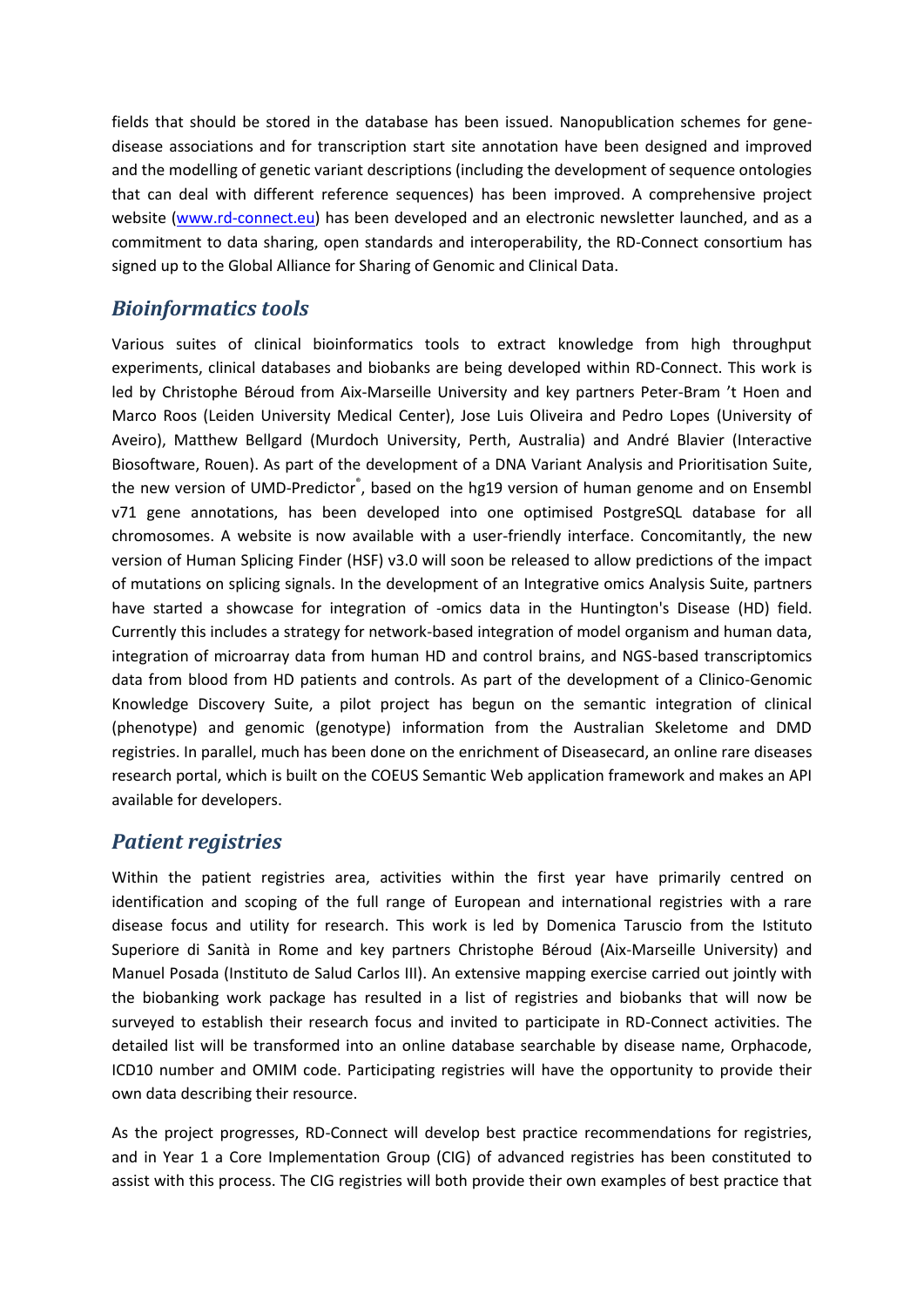fields that should be stored in the database has been issued. Nanopublication schemes for genedisease associations and for transcription start site annotation have been designed and improved and the modelling of genetic variant descriptions (including the development of sequence ontologies that can deal with different reference sequences) has been improved. A comprehensive project website [\(www.rd-connect.eu\)](http://www.rd-connect.eu/) has been developed and an electronic newsletter launched, and as a commitment to data sharing, open standards and interoperability, the RD-Connect consortium has signed up to the Global Alliance for Sharing of Genomic and Clinical Data.

#### *Bioinformatics tools*

Various suites of clinical bioinformatics tools to extract knowledge from high throughput experiments, clinical databases and biobanks are being developed within RD-Connect. This work is led by Christophe Béroud from Aix-Marseille University and key partners Peter-Bram 't Hoen and Marco Roos (Leiden University Medical Center), Jose Luis Oliveira and Pedro Lopes (University of Aveiro), Matthew Bellgard (Murdoch University, Perth, Australia) and André Blavier (Interactive Biosoftware, Rouen). As part of the development of a DNA Variant Analysis and Prioritisation Suite, the new version of UMD-Predictor<sup>®</sup>, based on the hg19 version of human genome and on Ensembl v71 gene annotations, has been developed into one optimised PostgreSQL database for all chromosomes. A website is now available with a user-friendly interface. Concomitantly, the new version of Human Splicing Finder (HSF) v3.0 will soon be released to allow predictions of the impact of mutations on splicing signals. In the development of an Integrative omics Analysis Suite, partners have started a showcase for integration of -omics data in the Huntington's Disease (HD) field. Currently this includes a strategy for network-based integration of model organism and human data, integration of microarray data from human HD and control brains, and NGS-based transcriptomics data from blood from HD patients and controls. As part of the development of a Clinico-Genomic Knowledge Discovery Suite, a pilot project has begun on the semantic integration of clinical (phenotype) and genomic (genotype) information from the Australian Skeletome and DMD registries. In parallel, much has been done on the enrichment of Diseasecard, an online rare diseases research portal, which is built on the COEUS Semantic Web application framework and makes an API available for developers.

#### *Patient registries*

Within the patient registries area, activities within the first year have primarily centred on identification and scoping of the full range of European and international registries with a rare disease focus and utility for research. This work is led by Domenica Taruscio from the Istituto Superiore di Sanità in Rome and key partners Christophe Béroud (Aix-Marseille University) and Manuel Posada (Instituto de Salud Carlos III). An extensive mapping exercise carried out jointly with the biobanking work package has resulted in a list of registries and biobanks that will now be surveyed to establish their research focus and invited to participate in RD-Connect activities. The detailed list will be transformed into an online database searchable by disease name, Orphacode, ICD10 number and OMIM code. Participating registries will have the opportunity to provide their own data describing their resource.

As the project progresses, RD-Connect will develop best practice recommendations for registries, and in Year 1 a Core Implementation Group (CIG) of advanced registries has been constituted to assist with this process. The CIG registries will both provide their own examples of best practice that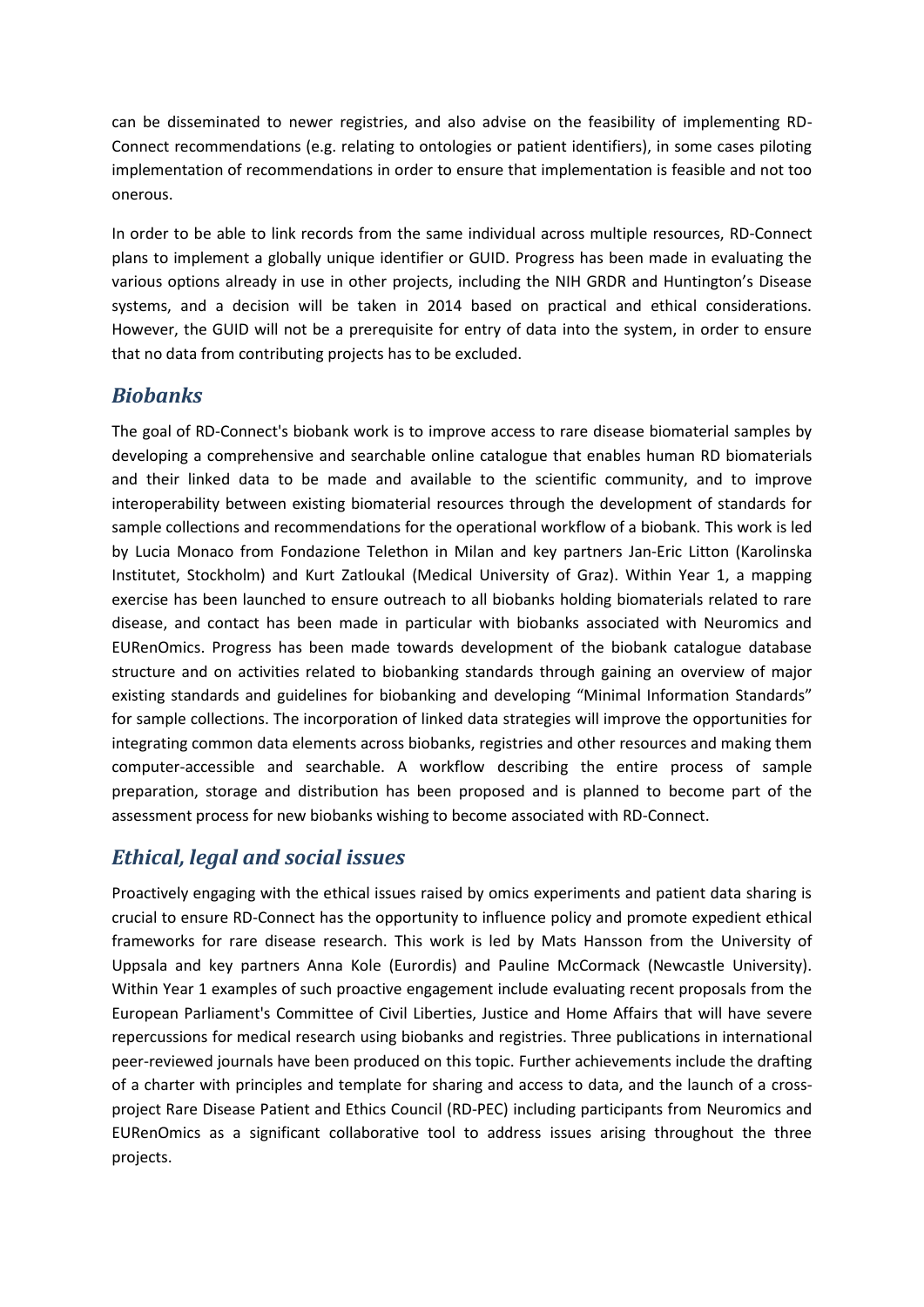can be disseminated to newer registries, and also advise on the feasibility of implementing RD-Connect recommendations (e.g. relating to ontologies or patient identifiers), in some cases piloting implementation of recommendations in order to ensure that implementation is feasible and not too onerous.

In order to be able to link records from the same individual across multiple resources, RD-Connect plans to implement a globally unique identifier or GUID. Progress has been made in evaluating the various options already in use in other projects, including the NIH GRDR and Huntington's Disease systems, and a decision will be taken in 2014 based on practical and ethical considerations. However, the GUID will not be a prerequisite for entry of data into the system, in order to ensure that no data from contributing projects has to be excluded.

### *Biobanks*

The goal of RD-Connect's biobank work is to improve access to rare disease biomaterial samples by developing a comprehensive and searchable online catalogue that enables human RD biomaterials and their linked data to be made and available to the scientific community, and to improve interoperability between existing biomaterial resources through the development of standards for sample collections and recommendations for the operational workflow of a biobank. This work is led by Lucia Monaco from Fondazione Telethon in Milan and key partners Jan-Eric Litton (Karolinska Institutet, Stockholm) and Kurt Zatloukal (Medical University of Graz). Within Year 1, a mapping exercise has been launched to ensure outreach to all biobanks holding biomaterials related to rare disease, and contact has been made in particular with biobanks associated with Neuromics and EURenOmics. Progress has been made towards development of the biobank catalogue database structure and on activities related to biobanking standards through gaining an overview of major existing standards and guidelines for biobanking and developing "Minimal Information Standards" for sample collections. The incorporation of linked data strategies will improve the opportunities for integrating common data elements across biobanks, registries and other resources and making them computer-accessible and searchable. A workflow describing the entire process of sample preparation, storage and distribution has been proposed and is planned to become part of the assessment process for new biobanks wishing to become associated with RD-Connect.

## *Ethical, legal and social issues*

Proactively engaging with the ethical issues raised by omics experiments and patient data sharing is crucial to ensure RD-Connect has the opportunity to influence policy and promote expedient ethical frameworks for rare disease research. This work is led by Mats Hansson from the University of Uppsala and key partners Anna Kole (Eurordis) and Pauline McCormack (Newcastle University). Within Year 1 examples of such proactive engagement include evaluating recent proposals from the European Parliament's Committee of Civil Liberties, Justice and Home Affairs that will have severe repercussions for medical research using biobanks and registries. Three publications in international peer-reviewed journals have been produced on this topic. Further achievements include the drafting of a charter with principles and template for sharing and access to data, and the launch of a crossproject Rare Disease Patient and Ethics Council (RD-PEC) including participants from Neuromics and EURenOmics as a significant collaborative tool to address issues arising throughout the three projects.